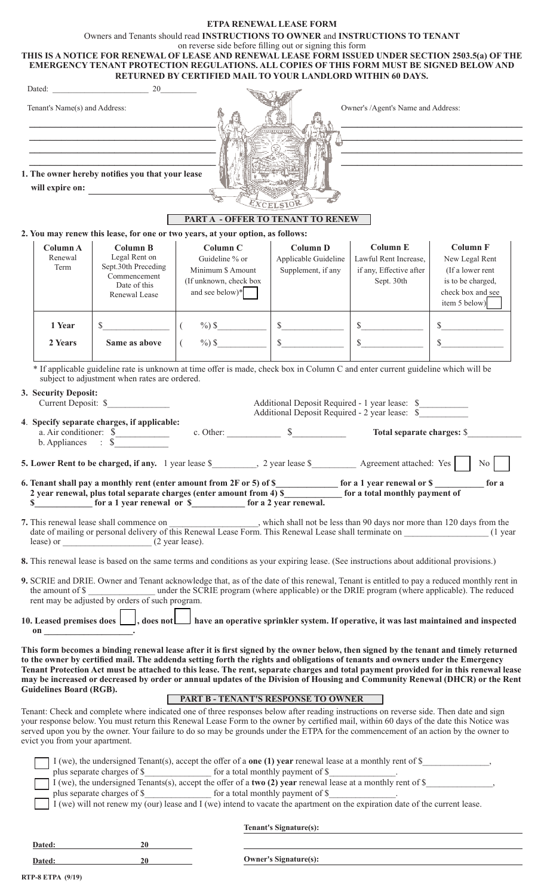|                                                                            |                                                                                                                                                                                                  | Owners and Tenants should read INSTRUCTIONS TO OWNER and INSTRUCTIONS TO TENANT<br>on reverse side before filling out or signing this form<br>THIS IS A NOTICE FOR RENEWAL OF LEASE AND RENEWAL LEASE FORM ISSUED UNDER SECTION 2503.5(a) OF THE                                                                                                                                                                                                                                                                                                                                                                                                                                                                                                                                                                                                                                                                                                                                                                                                                                                                          | <b>ETPA RENEWAL LEASE FORM</b>                                                                                   |                                          |                                                                             |
|----------------------------------------------------------------------------|--------------------------------------------------------------------------------------------------------------------------------------------------------------------------------------------------|---------------------------------------------------------------------------------------------------------------------------------------------------------------------------------------------------------------------------------------------------------------------------------------------------------------------------------------------------------------------------------------------------------------------------------------------------------------------------------------------------------------------------------------------------------------------------------------------------------------------------------------------------------------------------------------------------------------------------------------------------------------------------------------------------------------------------------------------------------------------------------------------------------------------------------------------------------------------------------------------------------------------------------------------------------------------------------------------------------------------------|------------------------------------------------------------------------------------------------------------------|------------------------------------------|-----------------------------------------------------------------------------|
|                                                                            |                                                                                                                                                                                                  | EMERGENCY TENANT PROTECTION REGULATIONS. ALL COPIES OF THIS FORM MUST BE SIGNED BELOW AND<br>RETURNED BY CERTIFIED MAIL TO YOUR LANDLORD WITHIN 60 DAYS.                                                                                                                                                                                                                                                                                                                                                                                                                                                                                                                                                                                                                                                                                                                                                                                                                                                                                                                                                                  |                                                                                                                  |                                          |                                                                             |
| Tenant's Name(s) and Address:                                              | Dated: 20                                                                                                                                                                                        |                                                                                                                                                                                                                                                                                                                                                                                                                                                                                                                                                                                                                                                                                                                                                                                                                                                                                                                                                                                                                                                                                                                           |                                                                                                                  | Owner's /Agent's Name and Address:       |                                                                             |
|                                                                            |                                                                                                                                                                                                  |                                                                                                                                                                                                                                                                                                                                                                                                                                                                                                                                                                                                                                                                                                                                                                                                                                                                                                                                                                                                                                                                                                                           |                                                                                                                  |                                          |                                                                             |
|                                                                            | <u> 1989 - Johann Barbara, martxa alemaniar arg</u><br><u> 1989 - Johann Stoff, deutscher Stoff, der Stoff, der Stoff, der Stoff, der Stoff, der Stoff, der Stoff, der S</u>                     |                                                                                                                                                                                                                                                                                                                                                                                                                                                                                                                                                                                                                                                                                                                                                                                                                                                                                                                                                                                                                                                                                                                           |                                                                                                                  |                                          | <u> 1989 - Johann Barbara, martxa alemaniar arg</u>                         |
|                                                                            |                                                                                                                                                                                                  |                                                                                                                                                                                                                                                                                                                                                                                                                                                                                                                                                                                                                                                                                                                                                                                                                                                                                                                                                                                                                                                                                                                           |                                                                                                                  |                                          |                                                                             |
| will expire on:                                                            | 1. The owner hereby notifies you that your lease                                                                                                                                                 |                                                                                                                                                                                                                                                                                                                                                                                                                                                                                                                                                                                                                                                                                                                                                                                                                                                                                                                                                                                                                                                                                                                           |                                                                                                                  |                                          |                                                                             |
|                                                                            |                                                                                                                                                                                                  | <b>PART A - OFFER TO TENANT TO RENEW</b>                                                                                                                                                                                                                                                                                                                                                                                                                                                                                                                                                                                                                                                                                                                                                                                                                                                                                                                                                                                                                                                                                  |                                                                                                                  |                                          |                                                                             |
|                                                                            |                                                                                                                                                                                                  | 2. You may renew this lease, for one or two years, at your option, as follows:                                                                                                                                                                                                                                                                                                                                                                                                                                                                                                                                                                                                                                                                                                                                                                                                                                                                                                                                                                                                                                            |                                                                                                                  |                                          |                                                                             |
| Column A<br>Renewal                                                        | <b>Column B</b><br>Legal Rent on                                                                                                                                                                 | Column C<br>Guideline % or                                                                                                                                                                                                                                                                                                                                                                                                                                                                                                                                                                                                                                                                                                                                                                                                                                                                                                                                                                                                                                                                                                | <b>Column D</b><br>Applicable Guideline                                                                          | <b>Column E</b><br>Lawful Rent Increase, | <b>Column F</b><br>New Legal Rent                                           |
| Term                                                                       | Sept.30th Preceding<br>Commencement<br>Date of this<br>Renewal Lease                                                                                                                             | Minimum \$ Amount<br>(If unknown, check box<br>and see below)*                                                                                                                                                                                                                                                                                                                                                                                                                                                                                                                                                                                                                                                                                                                                                                                                                                                                                                                                                                                                                                                            | Supplement, if any                                                                                               | if any, Effective after<br>Sept. 30th    | (If a lower rent<br>is to be charged,<br>check box and see<br>item 5 below) |
| 1 Year                                                                     | $\sim$                                                                                                                                                                                           | $\frac{9}{0}$ \$<br>$\left($                                                                                                                                                                                                                                                                                                                                                                                                                                                                                                                                                                                                                                                                                                                                                                                                                                                                                                                                                                                                                                                                                              | $\sim$                                                                                                           |                                          |                                                                             |
| 2 Years                                                                    | Same as above                                                                                                                                                                                    | $\frac{9}{0}$ \$                                                                                                                                                                                                                                                                                                                                                                                                                                                                                                                                                                                                                                                                                                                                                                                                                                                                                                                                                                                                                                                                                                          | $\mathbb{S}$                                                                                                     | $\frac{\sqrt{2}}{2}$<br>$\mathbb{S}$     | $\sim$<br>$\mathcal{S}$                                                     |
| 3. Security Deposit:<br>$b.$ Appliances $\therefore$ \$<br>$\mathbf{on}$ . | subject to adjustment when rates are ordered.<br>Current Deposit: \$<br>4. Specify separate charges, if applicable:<br>a. Air conditioner: \$<br>rent may be adjusted by orders of such program. | * If applicable guideline rate is unknown at time offer is made, check box in Column C and enter current guideline which will be<br>c. Other:<br>6. Tenant shall pay a monthly rent (enter amount from 2F or 5) of \$_____________ for a 1 year renewal or \$<br>2 year renewal, plus total separate charges (enter amount from 4) \$ for a total monthly payment of<br>\$ [600] for a 1 year renewal or \$ [600] for a 2 year renewal.<br>7. This renewal lease shall commence on ___________, which shall not be less than 90 days nor more than 120 days from the date of mailing or personal delivery of this Renewal Lease Form. This Renewal Lease shall terminate<br>8. This renewal lease is based on the same terms and conditions as your expiring lease. (See instructions about additional provisions.)<br>9. SCRIE and DRIE. Owner and Tenant acknowledge that, as of the date of this renewal, Tenant is entitled to pay a reduced monthly rent in<br>the amount of \$<br>10. Leased premises does    , does not     have an operative sprinkler system. If operative, it was last maintained and inspected | Additional Deposit Required - 1 year lease: \$<br>Additional Deposit Required - 2 year lease: \$<br>$\mathbb{S}$ | Total separate charges: \$               | No<br>for a                                                                 |
| Guidelines Board (RGB).                                                    |                                                                                                                                                                                                  | This form becomes a binding renewal lease after it is first signed by the owner below, then signed by the tenant and timely returned<br>to the owner by certified mail. The addenda setting forth the rights and obligations of tenants and owners under the Emergency<br>Tenant Protection Act must be attached to this lease. The rent, separate charges and total payment provided for in this renewal lease<br>may be increased or decreased by order or annual updates of the Division of Housing and Community Renewal (DHCR) or the Rent<br><b>PART B - TENANT'S RESPONSE TO OWNER</b>                                                                                                                                                                                                                                                                                                                                                                                                                                                                                                                             |                                                                                                                  |                                          |                                                                             |
| evict you from your apartment.                                             |                                                                                                                                                                                                  | Tenant: Check and complete where indicated one of three responses below after reading instructions on reverse side. Then date and sign<br>your response below. You must return this Renewal Lease Form to the owner by certified mail, within 60 days of the date this Notice was<br>served upon you by the owner. Your failure to do so may be grounds under the ETPA for the commencement of an action by the owner to                                                                                                                                                                                                                                                                                                                                                                                                                                                                                                                                                                                                                                                                                                  |                                                                                                                  |                                          |                                                                             |
|                                                                            |                                                                                                                                                                                                  | I (we), the undersigned Tenant(s), accept the offer of a <b>one (1) year</b> renewal lease at a monthly rent of \$,<br>plus separate charges of \$______________________ for a total monthly payment of \$_______________.<br>plus separate charges of \$ for a total monthly payment of \$<br>I (we) will not renew my (our) lease and I (we) intend to vacate the apartment on the expiration date of the current lease.                                                                                                                                                                                                                                                                                                                                                                                                                                                                                                                                                                                                                                                                                                |                                                                                                                  |                                          |                                                                             |
|                                                                            |                                                                                                                                                                                                  |                                                                                                                                                                                                                                                                                                                                                                                                                                                                                                                                                                                                                                                                                                                                                                                                                                                                                                                                                                                                                                                                                                                           | <b>Tenant's Signature(s):</b>                                                                                    |                                          |                                                                             |
| Dated:                                                                     | 20                                                                                                                                                                                               |                                                                                                                                                                                                                                                                                                                                                                                                                                                                                                                                                                                                                                                                                                                                                                                                                                                                                                                                                                                                                                                                                                                           |                                                                                                                  |                                          |                                                                             |

| <b>RTP-8 ETPA (9/19)</b> |  |  |
|--------------------------|--|--|

**Dated:** 20 **Owner's Signature(s):**